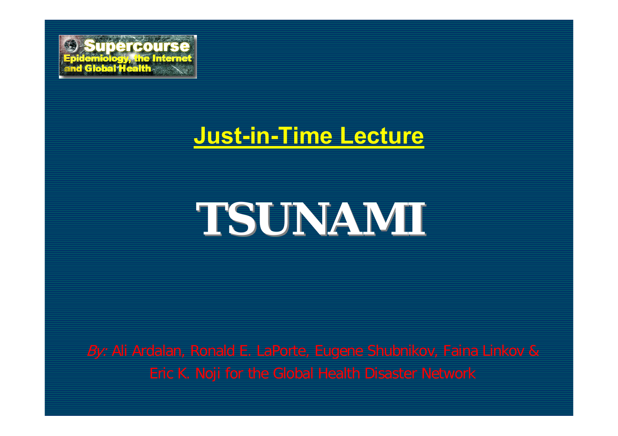

#### **Just-in-Time Lecture**

# **TSUNAMI TSUNAMI**

*By:* Ali Ardalan, Ronald E. LaPorte, Eugene Shubnikov, Faina Linkov & Eric K. Noji for the Global Health Disaster Network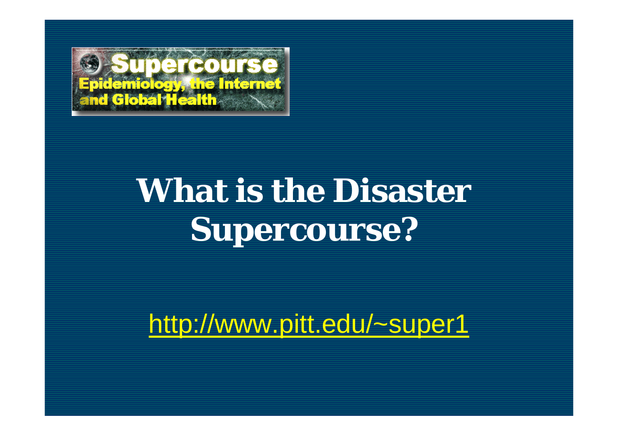

# **What is the Disaster Supercourse?**

http://www.pitt.edu/~super1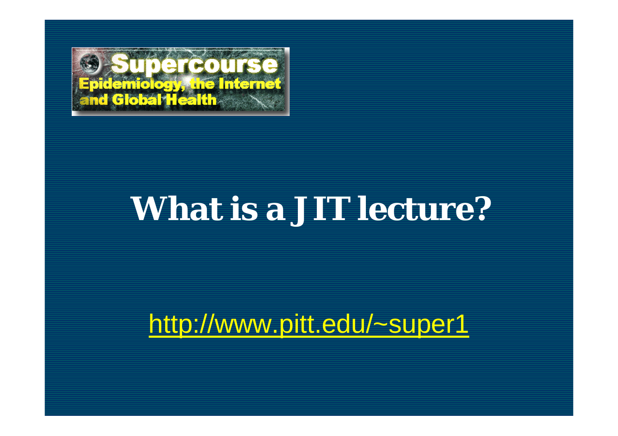

### **What is a JIT lecture?**

http://www.pitt.edu/~super1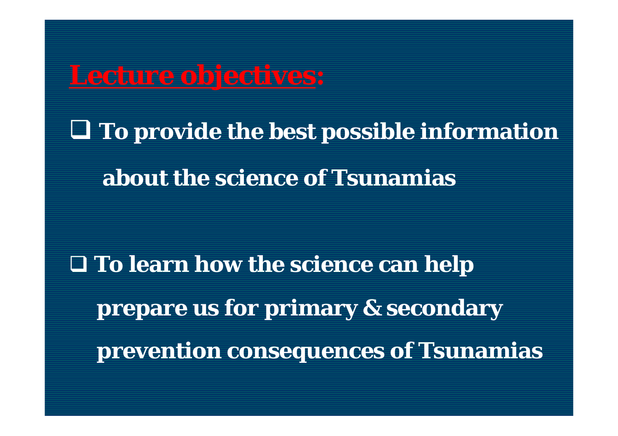**Lecture objectives: To provide the best possible information about the science of Tsunamias**

 **To learn how the science can help prepare us for primary & secondary prevention consequences of Tsunamias**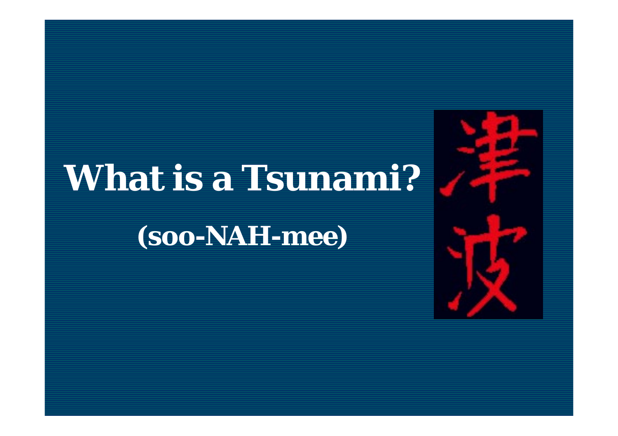# **What is a Tsunami?**

*(soo-NAH-mee)*

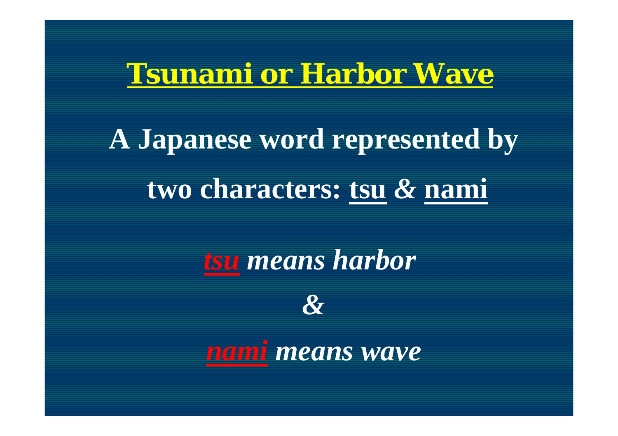#### **Tsunami** *or* **Harbor Wave**

**A Japanese word represented by two characters: tsu** *&* **nami**

*tsu means harbor*



*nami means wave*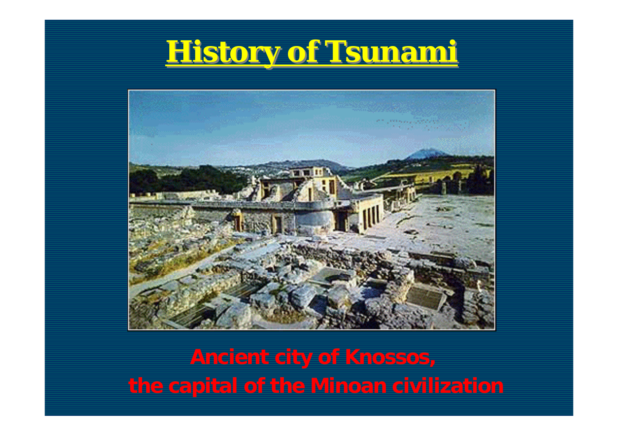



**Ancient city of Knossos, the capital of the Minoan civilization**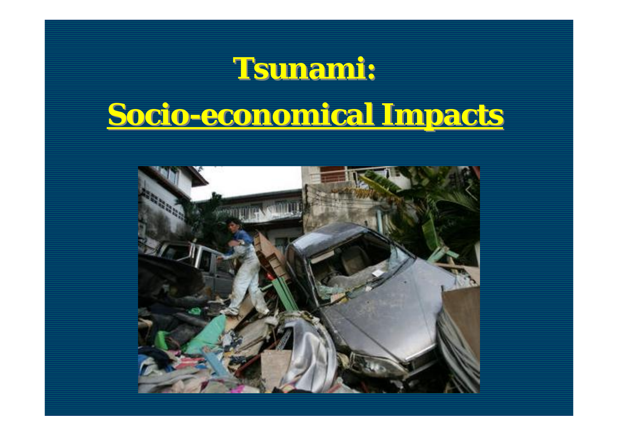#### **Tsunami: Tsunami:**

### **Socio-economical Impacts Socio-economical Impacts**

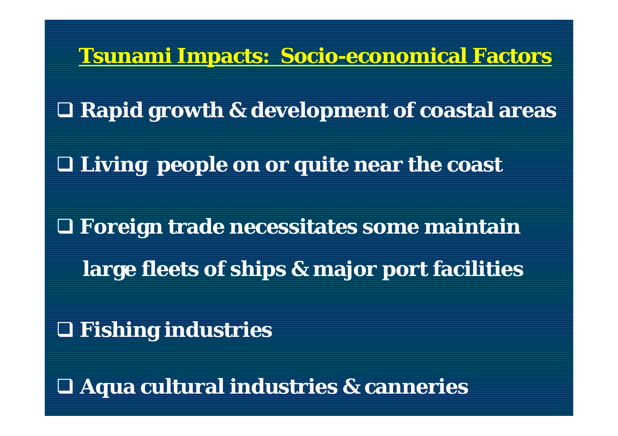**Tsunami Impacts: Socio-economical Factors Rapid growth & development of coastal areas Living people on or quite near the coast Foreign trade necessitates some maintain large fleets of ships & major port facilities Fishing industries**

**Aqua cultural industries & canneries**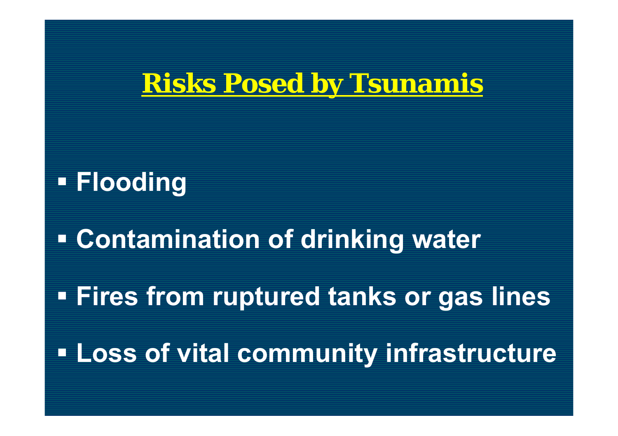#### **Risks Posed by Tsunamis**

#### **Flooding**

 **Contamination of drinking water Fires from ruptured tanks or gas lines Loss of vital community infrastructure**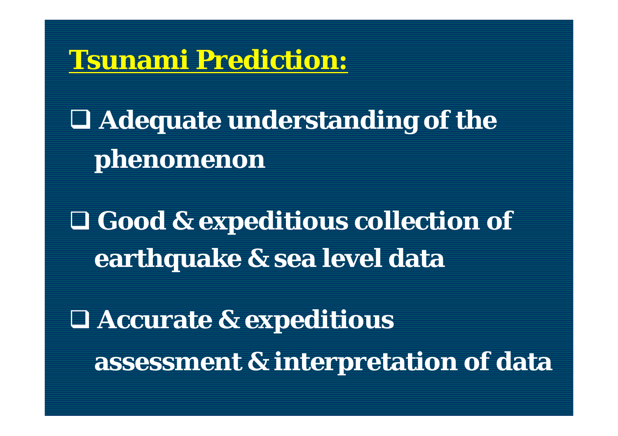#### **Tsunami Prediction:**

 **Adequate understanding of the phenomenon**

 **Good & expeditious collection of earthquake & sea level data**

 **Accurate & expeditious assessment & interpretation of data**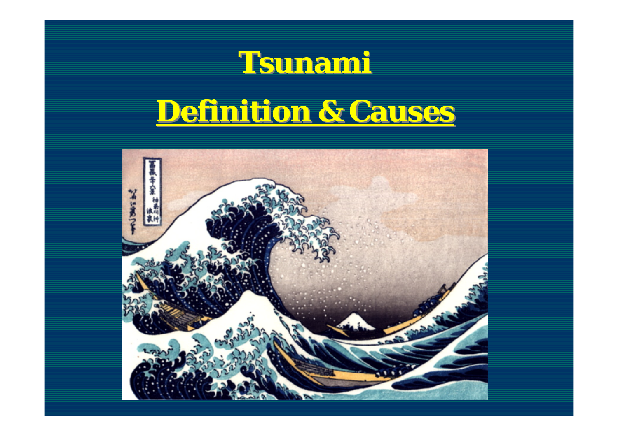

#### **Definition & Causes Definition & Causes**

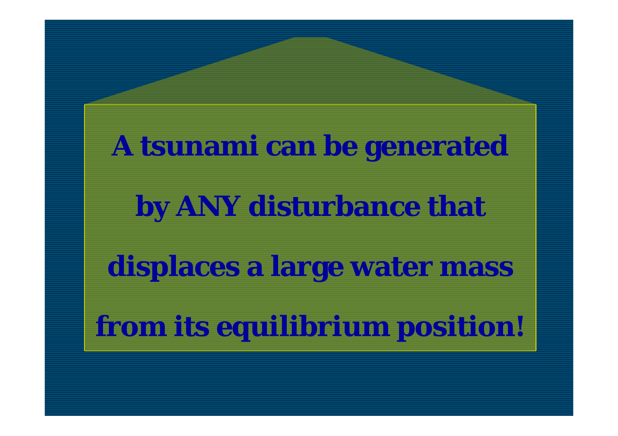**A tsunami can be generated by ANY disturbance that displaces a large water mass from its** *equilibrium* **position!**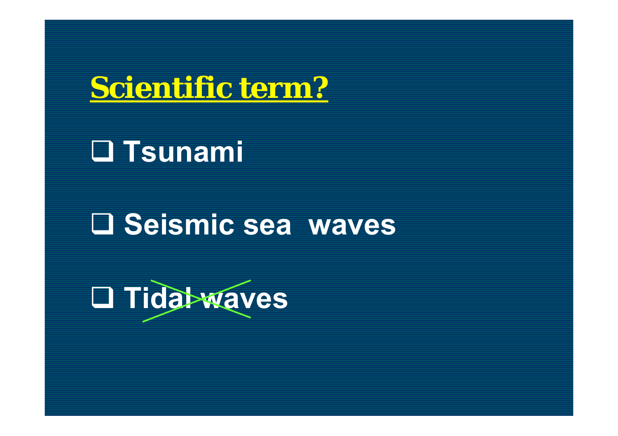

#### **Tsunami**

#### **Seismic sea waves**

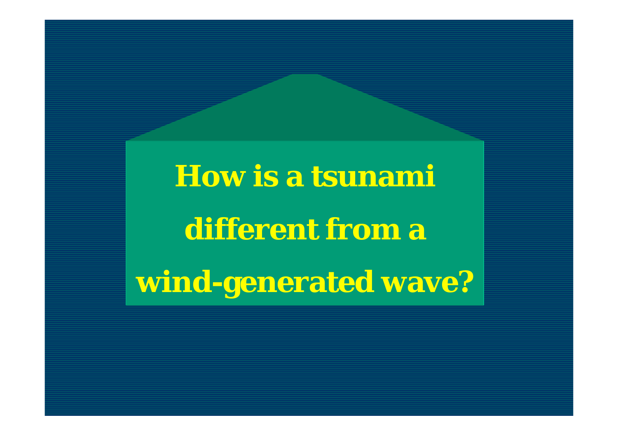**How is a tsunami different from a wind-generated wave?**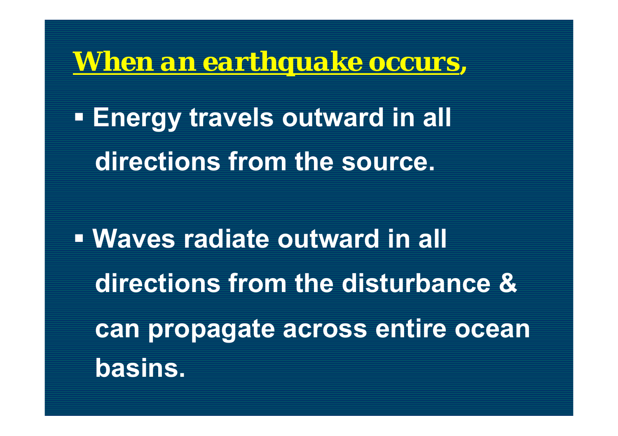#### *When an earthquake occurs,*

 **Energy travels outward in all directions from the source.** 

 **Waves radiate outward in all directions from the disturbance & can propagate across entire ocean basins.**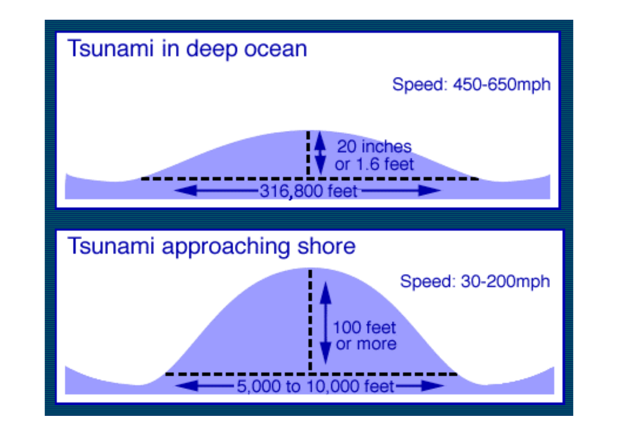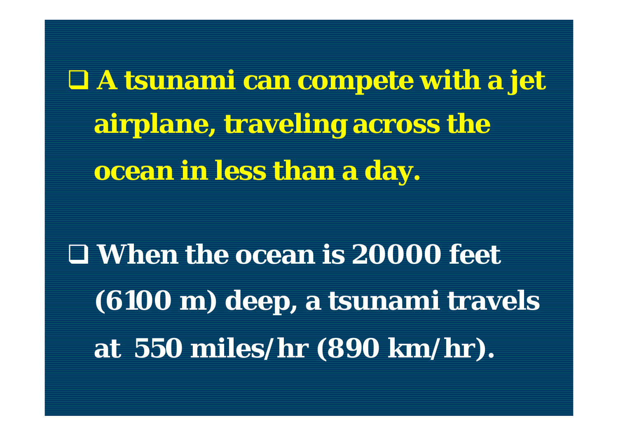**A tsunami can compete with a jet airplane, traveling across the ocean in less than a day.**

 **When the ocean is 20000 feet (6100 m) deep, a tsunami travels at 550 miles/hr (890 km/hr).**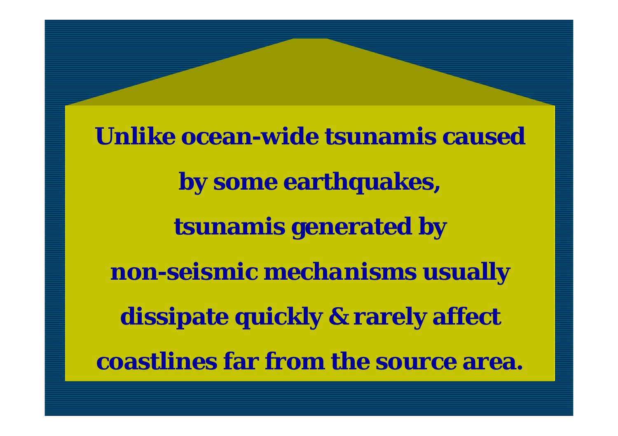**Unlike ocean-wide tsunamis caused by some earthquakes, tsunamis generated by**  *non-seismic mechanisms* **usually dissipate quickly & rarely affect coastlines far from the source area.**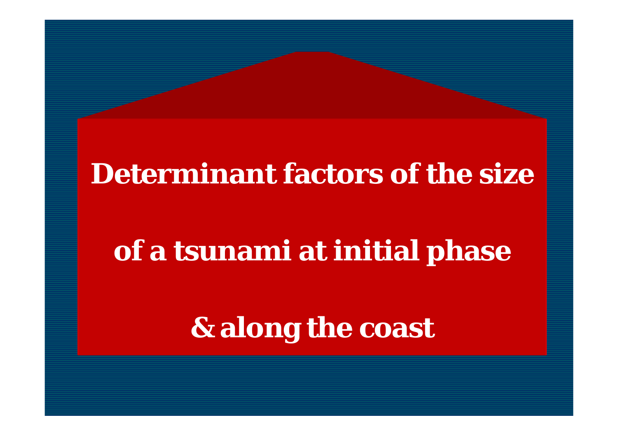#### **Determinant factors of the size**

#### **of a tsunami at initial phase**

**& along the coast**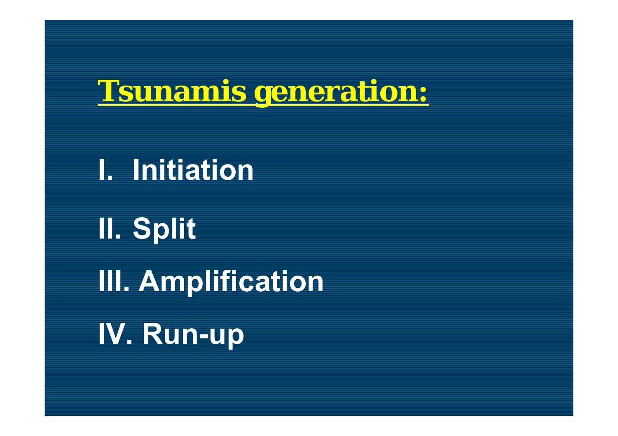**I. Initiation** 

**II. Split III. Amplification IV. Run-up**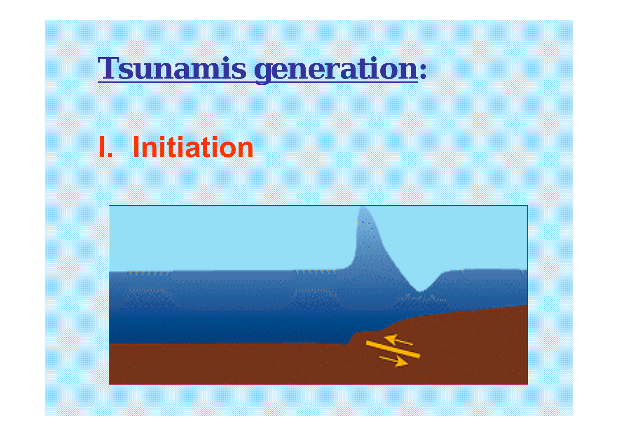#### **I. Initiation**

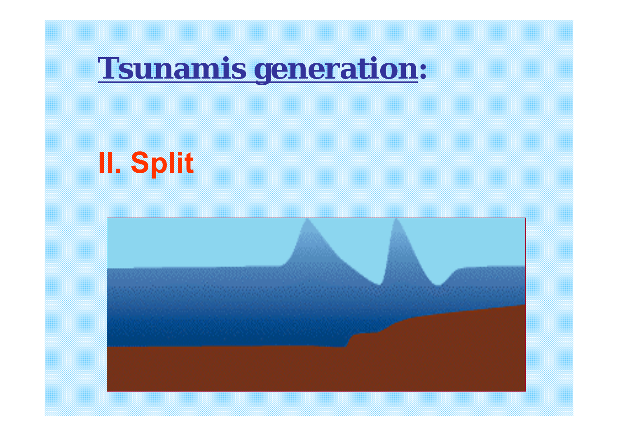# **II. Split**

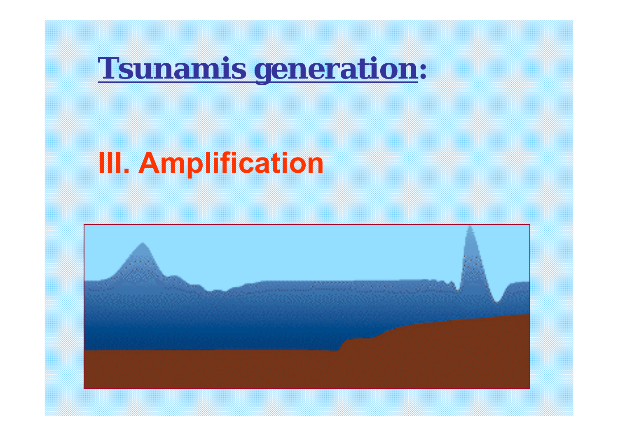### **III. Amplification**

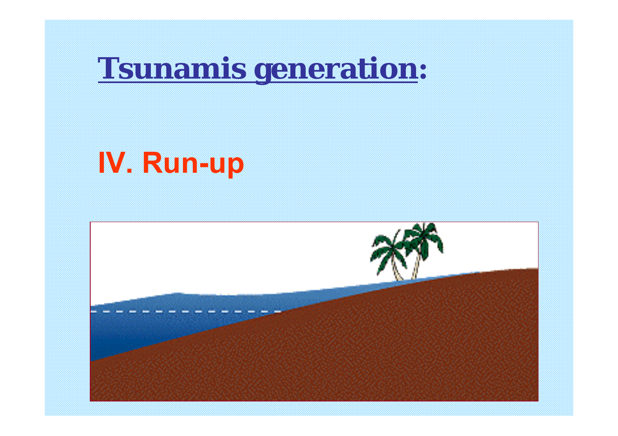# **IV. Run-up**

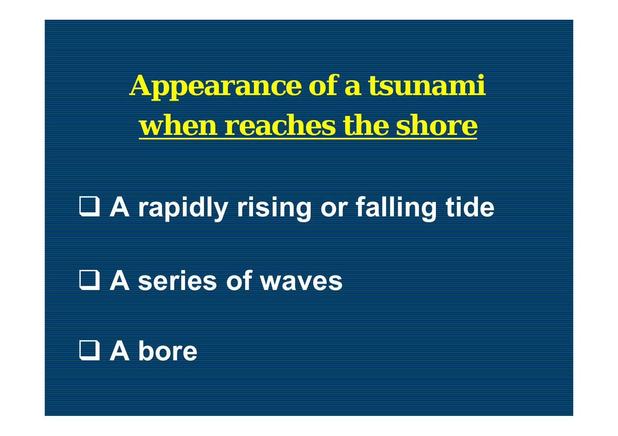**Appearance of a tsunami when reaches the shore**

#### **A rapidly rising or falling tide**

**A series of waves**

#### **A bore**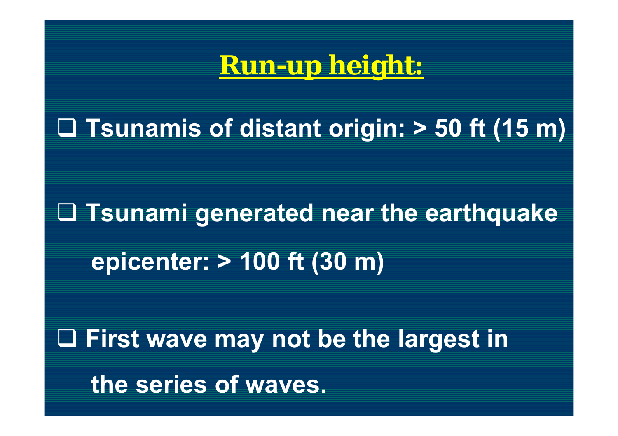#### **Run-up height:**

#### **Tsunamis of distant origin: > 50 ft (15 m)**

# **Tsunami generated near the earthquake epicenter: > 100 ft (30 m)**

 **First wave may not be the largest in the series of waves.**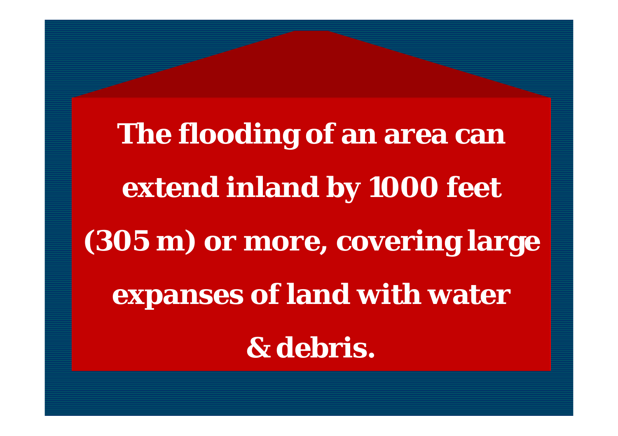**The flooding of an area can extend inland by 1000 feet (305 m) or more, covering large expanses of land with water & debris.**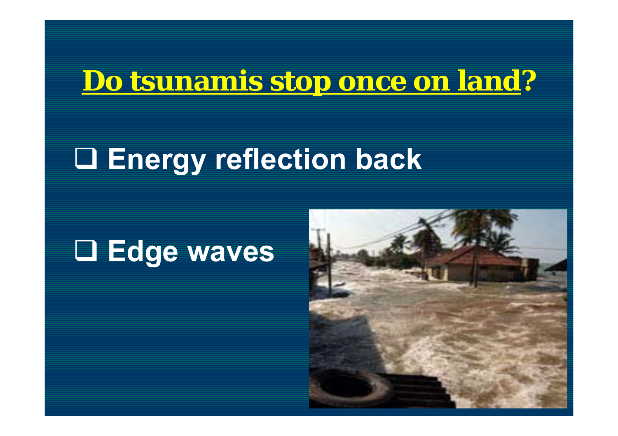#### **Do tsunamis stop once on land ?**

#### **Energy reflection back**

#### **Edge waves**

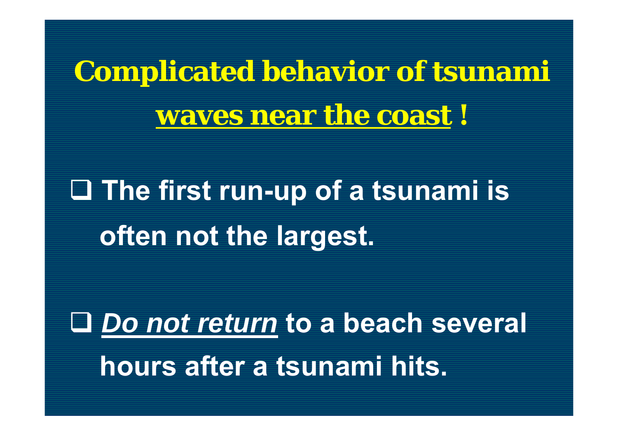**Complicated behavior of tsunami waves near the coast !**

 **The first run-up of a tsunami is often not the largest.** 

 *Do not return* **to a beach several hours after a tsunami hits.**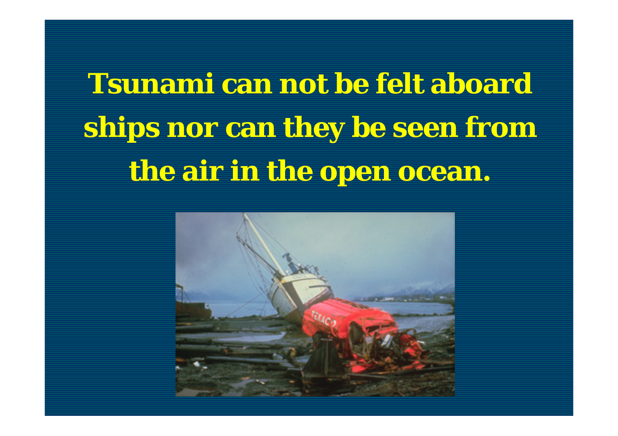**Tsunami can not be felt aboard ships nor can they be seen from the air in the open ocean.**

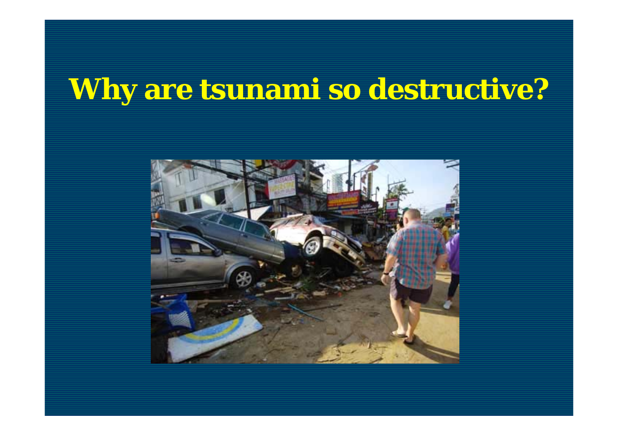#### **Why are tsunami so destructive?**

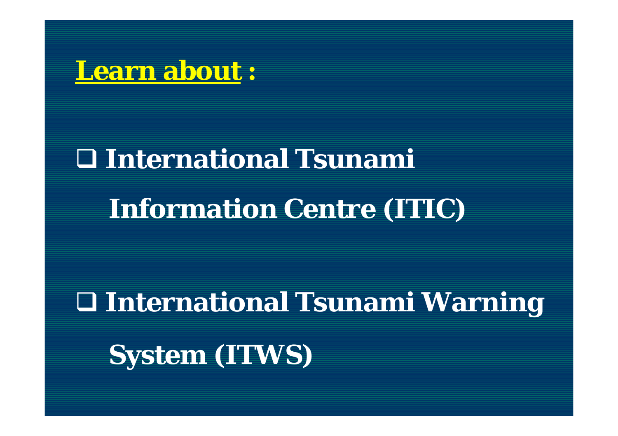

# **International Tsunami Information Centre (ITIC)**

# **International Tsunami Warning System (ITWS)**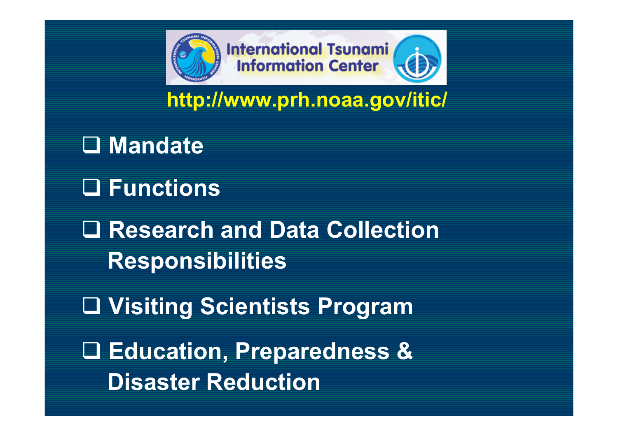

**http://www.prh.noaa.gov/itic/**

 **Mandate Functions Research and Data Collection Responsibilities Visiting Scientists Program Education, Preparedness & Disaster Reduction**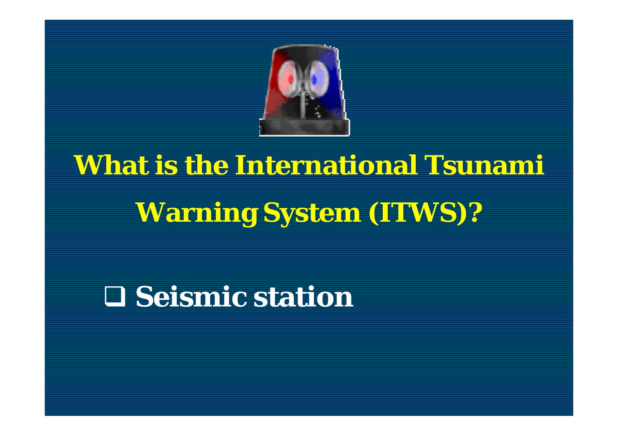

# **What is the International Tsunami Warning System (ITWS)?**

#### $\Box$  **Seismic station**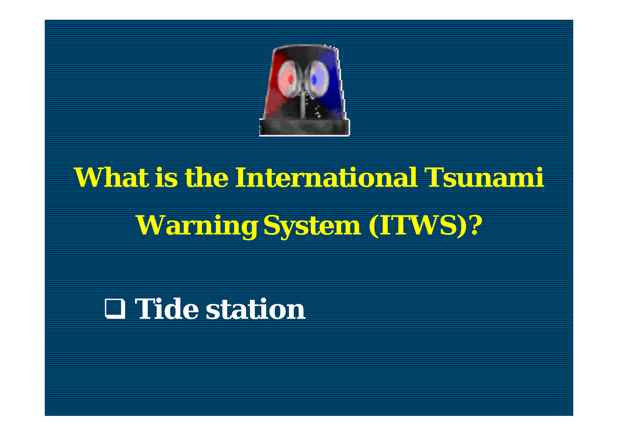

# **What is the International Tsunami Warning System (ITWS)?**

#### **Tide station**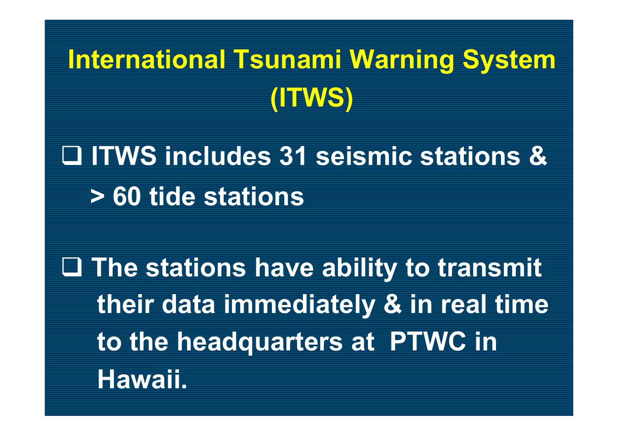### **International Tsunami Warning System (ITWS)**

### **ITWS includes 31 seismic stations & > 60 tide stations**

 **The stations have ability to transmit their data immediately & in real time to the headquarters at PTWC in Hawaii.**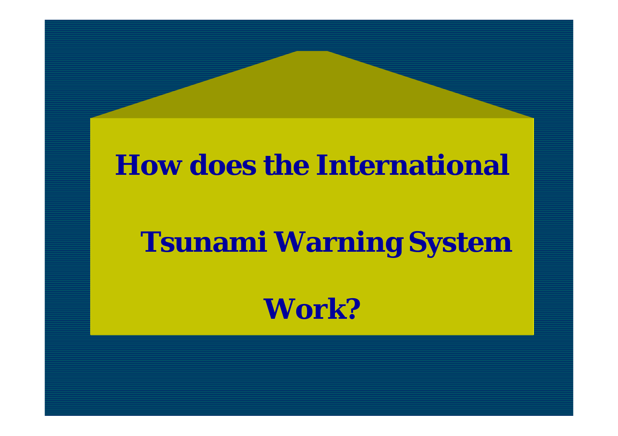#### **How does the International**

#### **Tsunami Warning System**

**Work?**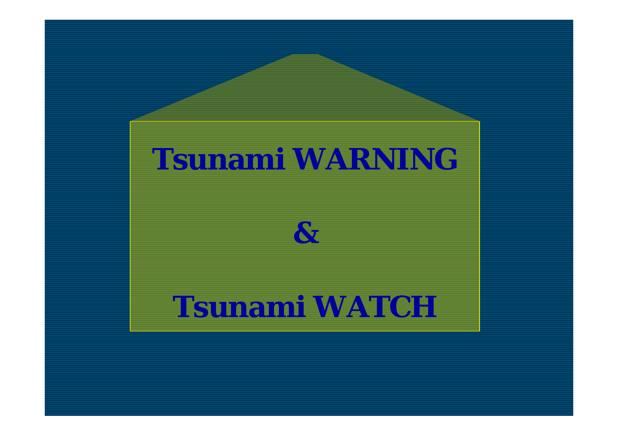#### **Tsunami WARNING**

#### *&*

#### **Tsunami WATCH**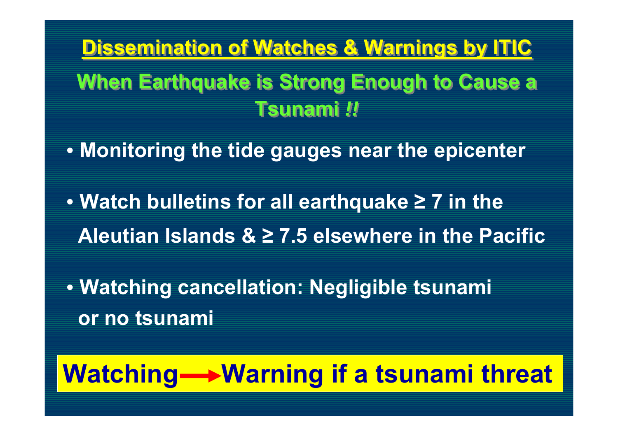**Dissemination of Watches & Warnings by ITIC Dissemination of Watches & Warnings by ITIC When Earthquake is Strong Enough to Cause a When Earthquake is Strong Enough to Cause a Tsunami** *!!***Tsunami** *!!*

• **Monitoring the tide gauges near the epicenter**

• **Watch bulletins for all earthquake ≥ 7 in the Aleutian Islands & ≥ 7.5 elsewhere in the Pacific**

• **Watching cancellation: Negligible tsunami or no tsunami**

#### Watching-**Warning if a tsunami threat**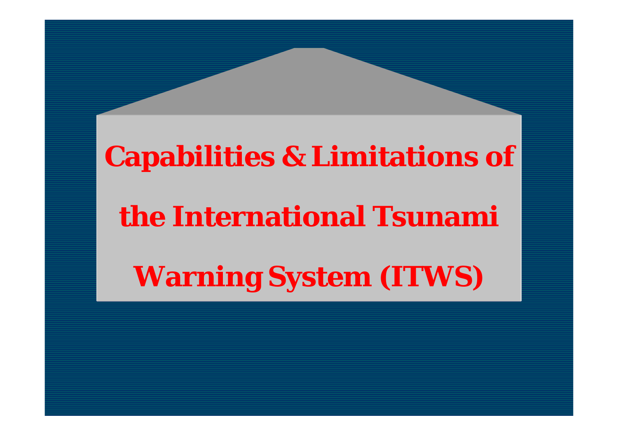### **Capabilities & Limitations of**

#### **the International Tsunami**

**Warning System (ITWS)**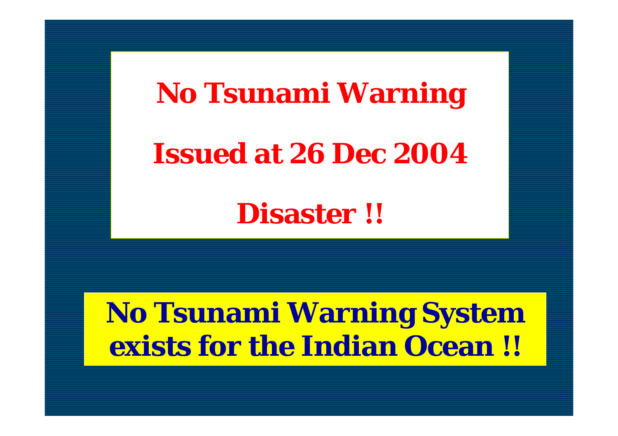# **No Tsunami Warning Issued at 26 Dec 2004**

**Disaster !!**

#### **No Tsunami Warning System exists for the Indian Ocean !!**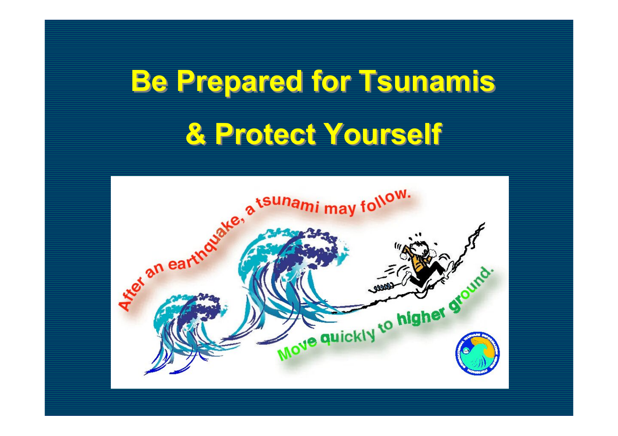# **Be Prepared for Tsunamis Be Prepared for Tsunamis & Protect Yourself & Protect Yourself**

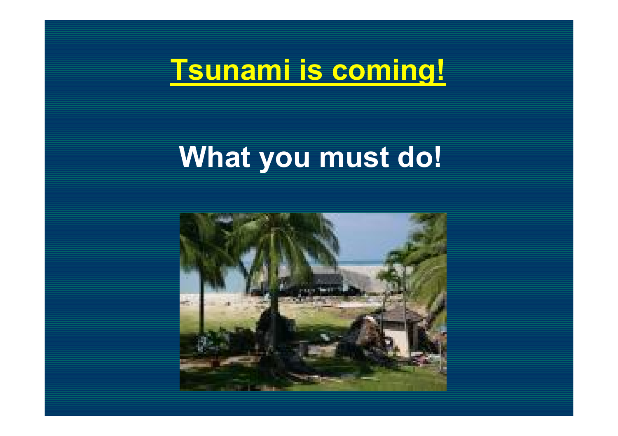#### **Tsunami is coming!**

#### **What you must do!**